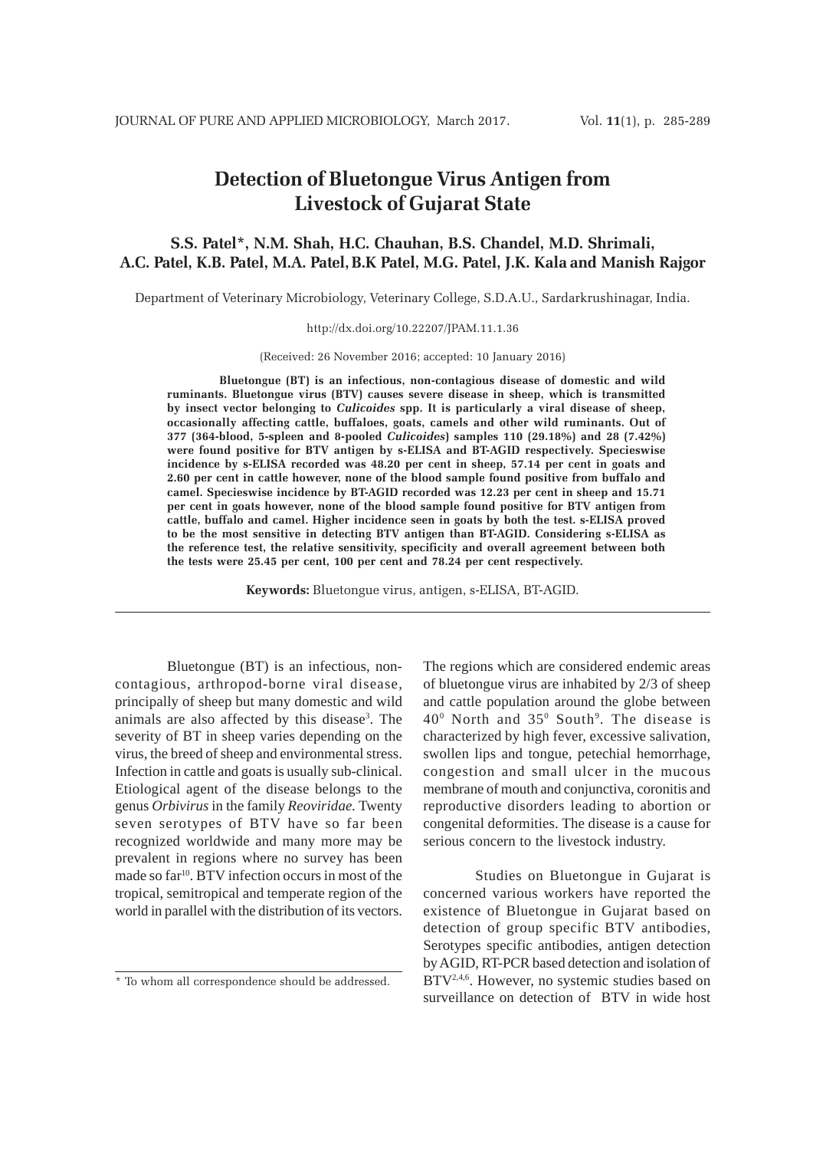# **Detection of Bluetongue Virus Antigen from Livestock of Gujarat State**

# **S.S. Patel\*, N.M. Shah, H.C. Chauhan, B.S. Chandel, M.D. Shrimali, A.C. Patel, K.B. Patel, M.A. Patel,B.K Patel, M.G. Patel, J.K. Kala and Manish Rajgor**

Department of Veterinary Microbiology, Veterinary College, S.D.A.U., Sardarkrushinagar, India.

#### http://dx.doi.org/10.22207/JPAM.11.1.36

(Received: 26 November 2016; accepted: 10 January 2016)

**Bluetongue (BT) is an infectious, non-contagious disease of domestic and wild ruminants. Bluetongue virus (BTV) causes severe disease in sheep, which is transmitted by insect vector belonging to** *Culicoides* **spp. It is particularly a viral disease of sheep, occasionally affecting cattle, buffaloes, goats, camels and other wild ruminants. Out of 377 (364-blood, 5-spleen and 8-pooled** *Culicoides***) samples 110 (29.18%) and 28 (7.42%) were found positive for BTV antigen by s-ELISA and BT-AGID respectively. Specieswise incidence by s-ELISA recorded was 48.20 per cent in sheep, 57.14 per cent in goats and 2.60 per cent in cattle however, none of the blood sample found positive from buffalo and camel. Specieswise incidence by BT-AGID recorded was 12.23 per cent in sheep and 15.71 per cent in goats however, none of the blood sample found positive for BTV antigen from cattle, buffalo and camel. Higher incidence seen in goats by both the test. s-ELISA proved to be the most sensitive in detecting BTV antigen than BT-AGID. Considering s-ELISA as the reference test, the relative sensitivity, specificity and overall agreement between both the tests were 25.45 per cent, 100 per cent and 78.24 per cent respectively.**

**Keywords:** Bluetongue virus, antigen, s-ELISA, BT-AGID.

Bluetongue (BT) is an infectious, noncontagious, arthropod-borne viral disease, principally of sheep but many domestic and wild animals are also affected by this disease<sup>3</sup>. The severity of BT in sheep varies depending on the virus, the breed of sheep and environmental stress. Infection in cattle and goats is usually sub-clinical. Etiological agent of the disease belongs to the genus *Orbivirus* in the family *Reoviridae.* Twenty seven serotypes of BTV have so far been recognized worldwide and many more may be prevalent in regions where no survey has been made so far<sup>10</sup>. BTV infection occurs in most of the tropical, semitropical and temperate region of the world in parallel with the distribution of its vectors.

The regions which are considered endemic areas of bluetongue virus are inhabited by 2/3 of sheep and cattle population around the globe between  $40^{\circ}$  North and 35 $^{\circ}$  South<sup>9</sup>. The disease is characterized by high fever, excessive salivation, swollen lips and tongue, petechial hemorrhage, congestion and small ulcer in the mucous membrane of mouth and conjunctiva, coronitis and reproductive disorders leading to abortion or congenital deformities. The disease is a cause for serious concern to the livestock industry.

Studies on Bluetongue in Gujarat is concerned various workers have reported the existence of Bluetongue in Gujarat based on detection of group specific BTV antibodies, Serotypes specific antibodies, antigen detection by AGID, RT-PCR based detection and isolation of BTV<sup>2,4,6</sup>. However, no systemic studies based on surveillance on detection of BTV in wide host

<sup>\*</sup> To whom all correspondence should be addressed.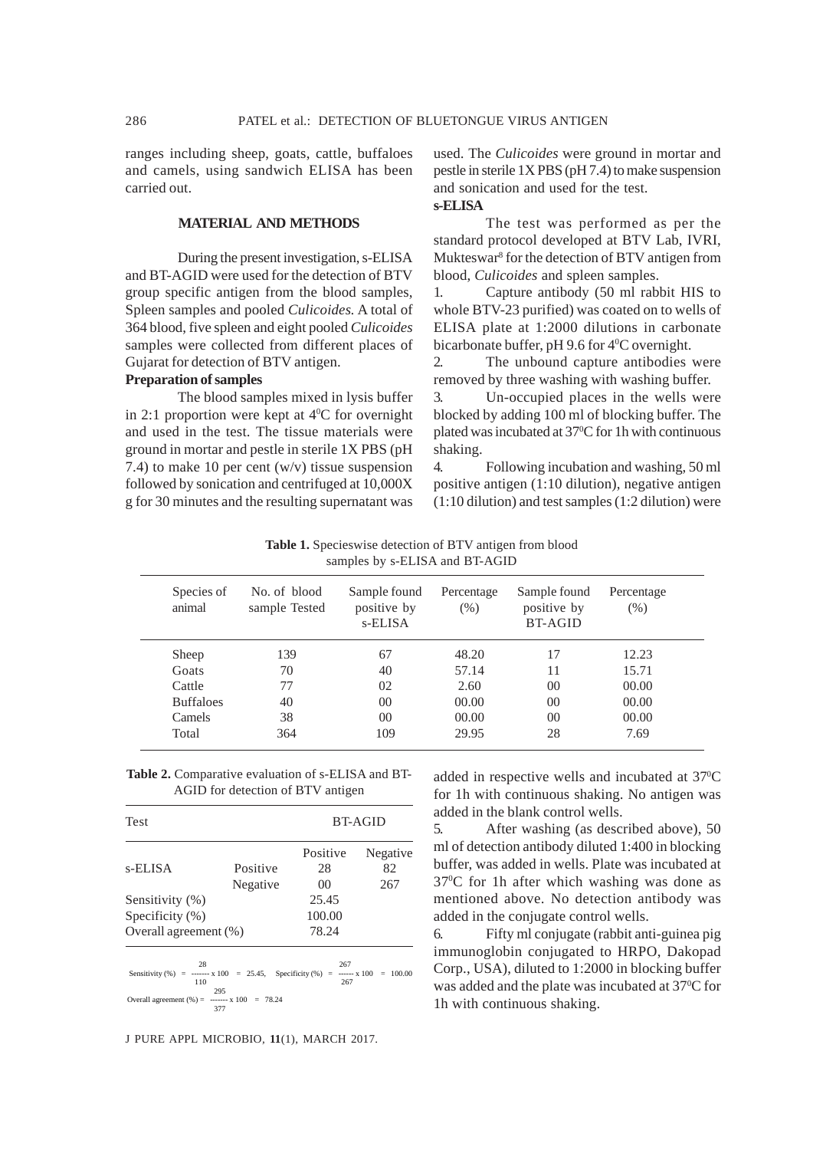ranges including sheep, goats, cattle, buffaloes and camels, using sandwich ELISA has been carried out.

# **MATERIAL AND METHODS**

During the present investigation, s-ELISA and BT-AGID were used for the detection of BTV group specific antigen from the blood samples, Spleen samples and pooled *Culicoides.* A total of 364 blood, five spleen and eight pooled *Culicoides* samples were collected from different places of Gujarat for detection of BTV antigen.

## **Preparation of samples**

The blood samples mixed in lysis buffer in 2:1 proportion were kept at  $4^{\circ}$ C for overnight and used in the test. The tissue materials were ground in mortar and pestle in sterile 1X PBS (pH 7.4) to make 10 per cent  $(w/v)$  tissue suspension followed by sonication and centrifuged at 10,000X g for 30 minutes and the resulting supernatant was

used. The *Culicoides* were ground in mortar and pestle in sterile 1X PBS (pH 7.4) to make suspension and sonication and used for the test. **s-ELISA**

The test was performed as per the standard protocol developed at BTV Lab, IVRI, Mukteswar<sup>8</sup> for the detection of BTV antigen from blood, *Culicoides* and spleen samples.

1. Capture antibody (50 ml rabbit HIS to whole BTV-23 purified) was coated on to wells of ELISA plate at 1:2000 dilutions in carbonate bicarbonate buffer, pH 9.6 for 4<sup>0</sup>C overnight.

2. The unbound capture antibodies were removed by three washing with washing buffer.

3. Un-occupied places in the wells were blocked by adding 100 ml of blocking buffer. The plated was incubated at 37<sup>o</sup>C for 1h with continuous shaking.

4. Following incubation and washing, 50 ml positive antigen (1:10 dilution), negative antigen (1:10 dilution) and test samples (1:2 dilution) were

**Table 1.** Specieswise detection of BTV antigen from blood samples by s-ELISA and BT-AGID

| Species of<br>animal | No. of blood<br>sample Tested | Sample found<br>positive by<br>s-ELISA | Percentage<br>$(\% )$ | Sample found<br>positive by<br>BT-AGID | Percentage<br>$(\% )$ |
|----------------------|-------------------------------|----------------------------------------|-----------------------|----------------------------------------|-----------------------|
| Sheep                | 139                           | 67                                     | 48.20                 | 17                                     | 12.23                 |
| Goats                | 70                            | 40                                     | 57.14                 | 11                                     | 15.71                 |
| Cattle               | 77                            | 02                                     | 2.60                  | 0 <sup>0</sup>                         | 00.00                 |
| <b>Buffaloes</b>     | 40                            | 00                                     | 00.00                 | $00\,$                                 | 00.00                 |
| Camels               | 38                            | 0 <sup>0</sup>                         | 00.00                 | 0 <sup>0</sup>                         | 00.00                 |
| Total                | 364                           | 109                                    | 29.95                 | 28                                     | 7.69                  |

**Table 2.** Comparative evaluation of s-ELISA and BT-AGID for detection of BTV antigen

| Test                                                                                                                                            |                      | <b>BT-AGID</b>       |                       |  |
|-------------------------------------------------------------------------------------------------------------------------------------------------|----------------------|----------------------|-----------------------|--|
| s-ELISA                                                                                                                                         | Positive<br>Negative | Positive<br>28<br>00 | Negative<br>82<br>267 |  |
| Sensitivity (%)                                                                                                                                 |                      | 25.45                |                       |  |
| Specificity $(\%)$                                                                                                                              |                      | 100.00               |                       |  |
| Overall agreement (%)                                                                                                                           |                      | 78.24                |                       |  |
| 28<br>Sensitivity (%) = ------ x 100 = 25.45, Specificity (%) = ----- x 100 = 100.00<br>110<br>Overall agreement $(\% ) =$ ------ x 100 = 78.24 | 295<br>377           | 267<br>267           |                       |  |

J PURE APPL MICROBIO*,* **11**(1), MARCH 2017.

added in respective wells and incubated at 37°C for 1h with continuous shaking. No antigen was added in the blank control wells.

5. After washing (as described above), 50 ml of detection antibody diluted 1:400 in blocking buffer, was added in wells. Plate was incubated at 370 C for 1h after which washing was done as mentioned above. No detection antibody was added in the conjugate control wells.

6. Fifty ml conjugate (rabbit anti-guinea pig immunoglobin conjugated to HRPO, Dakopad Corp., USA), diluted to 1:2000 in blocking buffer was added and the plate was incubated at 37°C for 1h with continuous shaking.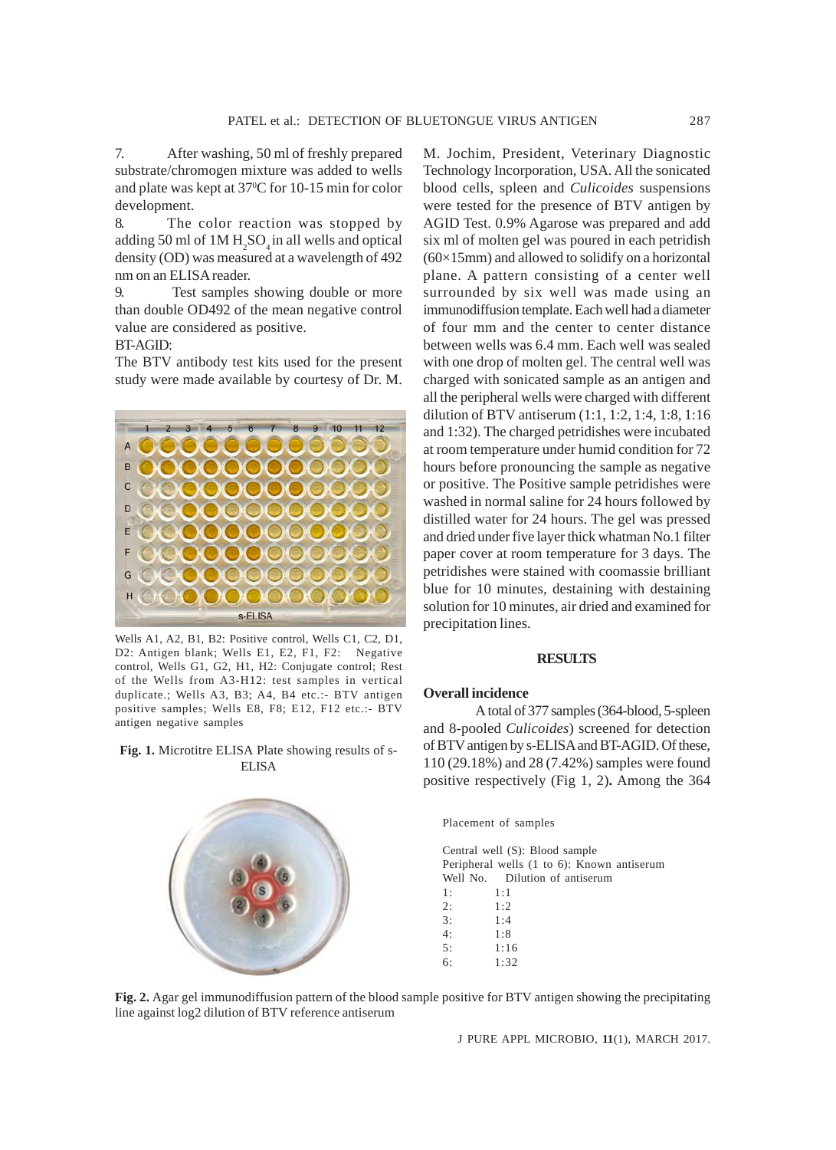7. After washing, 50 ml of freshly prepared substrate/chromogen mixture was added to wells and plate was kept at 37<sup>o</sup>C for 10-15 min for color development.

8. The color reaction was stopped by adding 50 ml of  $1M H_2SO_4$  in all wells and optical density (OD) was measured at a wavelength of 492 nm on an ELISA reader.

9. Test samples showing double or more than double OD492 of the mean negative control value are considered as positive.

# BT-AGID:

The BTV antibody test kits used for the present study were made available by courtesy of Dr. M.



Wells A1, A2, B1, B2: Positive control, Wells C1, C2, D1, D2: Antigen blank; Wells E1, E2, F1, F2: Negative control, Wells G1, G2, H1, H2: Conjugate control; Rest of the Wells from A3-H12: test samples in vertical duplicate.; Wells A3, B3; A4, B4 etc.:- BTV antigen positive samples; Wells E8, F8; E12, F12 etc.:- BTV antigen negative samples

**Fig. 1.** Microtitre ELISA Plate showing results of s-ELISA



M. Jochim, President, Veterinary Diagnostic Technology Incorporation, USA. All the sonicated blood cells, spleen and *Culicoides* suspensions were tested for the presence of BTV antigen by AGID Test. 0.9% Agarose was prepared and add six ml of molten gel was poured in each petridish  $(60\times15$ mm) and allowed to solidify on a horizontal plane. A pattern consisting of a center well surrounded by six well was made using an immunodiffusion template. Each well had a diameter of four mm and the center to center distance between wells was 6.4 mm. Each well was sealed with one drop of molten gel. The central well was charged with sonicated sample as an antigen and all the peripheral wells were charged with different dilution of BTV antiserum (1:1, 1:2, 1:4, 1:8, 1:16 and 1:32). The charged petridishes were incubated at room temperature under humid condition for 72 hours before pronouncing the sample as negative or positive. The Positive sample petridishes were washed in normal saline for 24 hours followed by distilled water for 24 hours. The gel was pressed and dried under five layer thick whatman No.1 filter paper cover at room temperature for 3 days. The petridishes were stained with coomassie brilliant blue for 10 minutes, destaining with destaining solution for 10 minutes, air dried and examined for precipitation lines.

#### **RESULTS**

#### **Overall incidence**

A total of 377 samples (364-blood, 5-spleen and 8-pooled *Culicoides*) screened for detection of BTV antigen by s-ELISA and BT-AGID. Of these, 110 (29.18%) and 28 (7.42%) samples were found positive respectively (Fig 1, 2)**.** Among the 364

Placement of samples

Central well (S): Blood sample Peripheral wells (1 to 6): Known antiserum Well No. Dilution of antiserum 1: 1:1 2:  $1:2$ 3: 1:4  $4 \cdot 1 \cdot 8$ 5: 1:16 6: 1:32

**Fig. 2.** Agar gel immunodiffusion pattern of the blood sample positive for BTV antigen showing the precipitating line against log2 dilution of BTV reference antiserum

J PURE APPL MICROBIO*,* **11**(1), MARCH 2017.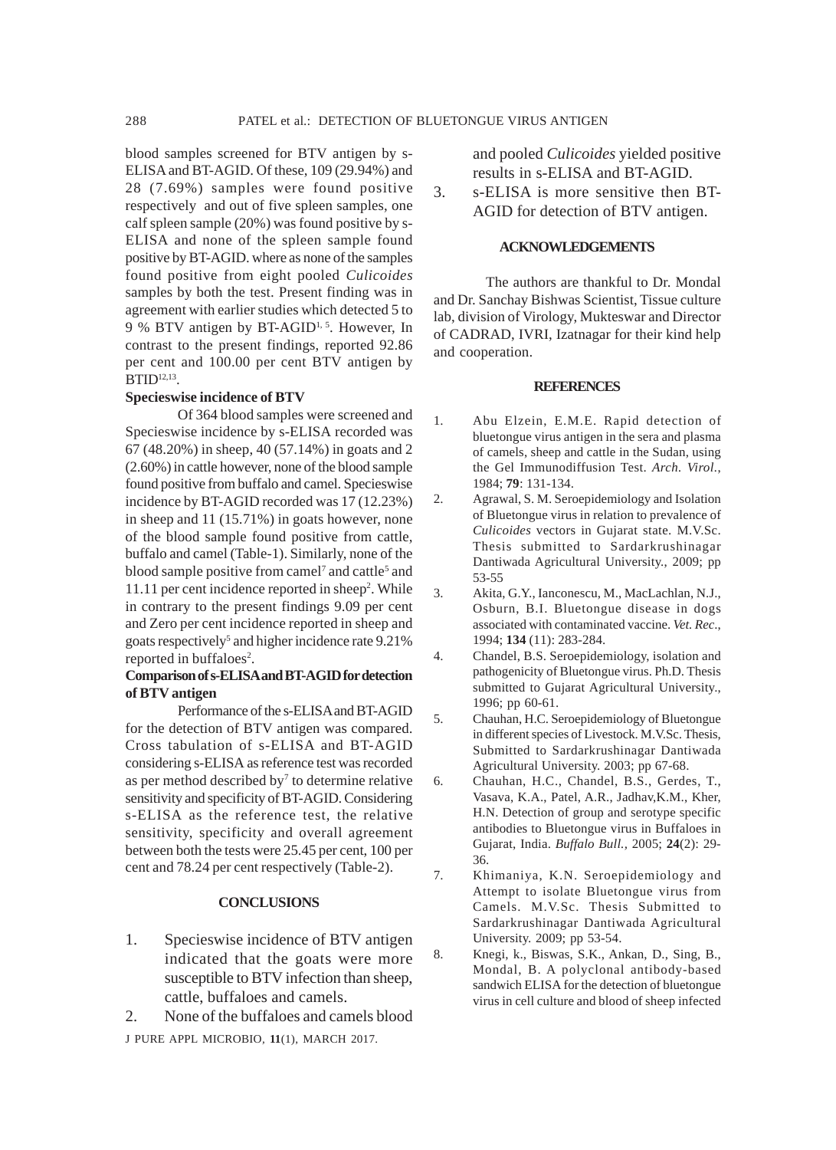blood samples screened for BTV antigen by s-ELISA and BT-AGID. Of these, 109 (29.94%) and 28 (7.69%) samples were found positive respectively and out of five spleen samples, one calf spleen sample (20%) was found positive by s-ELISA and none of the spleen sample found positive by BT-AGID. where as none of the samples found positive from eight pooled *Culicoides* samples by both the test. Present finding was in agreement with earlier studies which detected 5 to 9 % BTV antigen by BT-AGID<sup>1, 5</sup>. However, In contrast to the present findings, reported 92.86 per cent and 100.00 per cent BTV antigen by  $B TID<sup>12,13</sup>$ .

#### **Specieswise incidence of BTV**

Of 364 blood samples were screened and Specieswise incidence by s-ELISA recorded was 67 (48.20%) in sheep, 40 (57.14%) in goats and 2 (2.60%) in cattle however, none of the blood sample found positive from buffalo and camel. Specieswise incidence by BT-AGID recorded was 17 (12.23%) in sheep and 11 (15.71%) in goats however, none of the blood sample found positive from cattle, buffalo and camel (Table-1). Similarly, none of the blood sample positive from camel<sup>7</sup> and cattle<sup>5</sup> and 11.11 per cent incidence reported in sheep<sup>2</sup>. While in contrary to the present findings 9.09 per cent and Zero per cent incidence reported in sheep and goats respectively<sup>5</sup> and higher incidence rate 9.21% reported in buffaloes<sup>2</sup>.

# **Comparison of s-ELISA and BT-AGID for detection of BTV antigen**

Performance of the s-ELISA and BT-AGID for the detection of BTV antigen was compared. Cross tabulation of s-ELISA and BT-AGID considering s-ELISA as reference test was recorded as per method described by<sup>7</sup> to determine relative sensitivity and specificity of BT-AGID. Considering s-ELISA as the reference test, the relative sensitivity, specificity and overall agreement between both the tests were 25.45 per cent, 100 per cent and 78.24 per cent respectively (Table-2).

# **CONCLUSIONS**

- 1. Specieswise incidence of BTV antigen indicated that the goats were more susceptible to BTV infection than sheep, cattle, buffaloes and camels.
- J PURE APPL MICROBIO*,* **11**(1), MARCH 2017. 2. None of the buffaloes and camels blood

and pooled *Culicoides* yielded positive results in s-ELISA and BT-AGID. 3. s-ELISA is more sensitive then BT-

AGID for detection of BTV antigen.

## **ACKNOWLEDGEMENTS**

The authors are thankful to Dr. Mondal and Dr. Sanchay Bishwas Scientist, Tissue culture lab, division of Virology, Mukteswar and Director of CADRAD, IVRI, Izatnagar for their kind help and cooperation.

#### **REFERENCES**

- 1. Abu Elzein, E.M.E. Rapid detection of bluetongue virus antigen in the sera and plasma of camels, sheep and cattle in the Sudan, using the Gel Immunodiffusion Test. *Arch. Virol.*, 1984; **79**: 131-134.
- 2. Agrawal, S. M. Seroepidemiology and Isolation of Bluetongue virus in relation to prevalence of *Culicoides* vectors in Gujarat state. M.V.Sc. Thesis submitted to Sardarkrushinagar Dantiwada Agricultural University., 2009; pp 53-55
- 3. Akita, G.Y., Ianconescu, M., MacLachlan, N.J., Osburn, B.I. Bluetongue disease in dogs associated with contaminated vaccine. *Vet. Rec*., 1994; **134** (11): 283-284.
- 4. Chandel, B.S. Seroepidemiology, isolation and pathogenicity of Bluetongue virus. Ph.D. Thesis submitted to Gujarat Agricultural University., 1996; pp 60-61.
- 5. Chauhan, H.C. Seroepidemiology of Bluetongue in different species of Livestock. M.V.Sc. Thesis, Submitted to Sardarkrushinagar Dantiwada Agricultural University. 2003; pp 67-68.
- 6. Chauhan, H.C., Chandel, B.S., Gerdes, T., Vasava, K.A., Patel, A.R., Jadhav,K.M., Kher, H.N. Detection of group and serotype specific antibodies to Bluetongue virus in Buffaloes in Gujarat, India. *Buffalo Bull.,* 2005; **24**(2): 29- 36.
- 7. Khimaniya, K.N. Seroepidemiology and Attempt to isolate Bluetongue virus from Camels. M.V.Sc. Thesis Submitted to Sardarkrushinagar Dantiwada Agricultural University. 2009; pp 53-54.
- 8. Knegi, k., Biswas, S.K., Ankan, D., Sing, B., Mondal, B. A polyclonal antibody-based sandwich ELISA for the detection of bluetongue virus in cell culture and blood of sheep infected